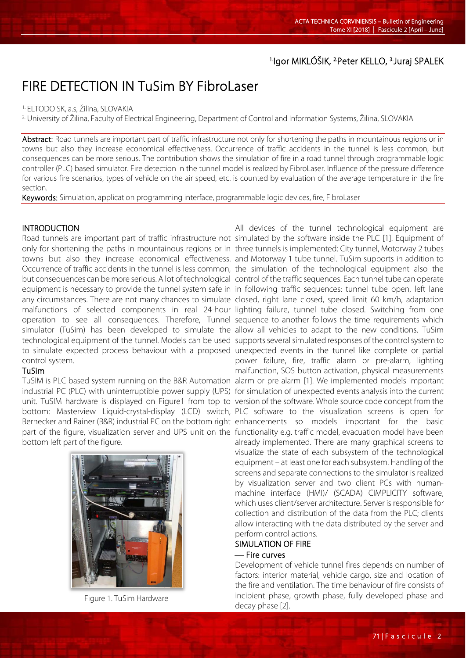## <sup>1.</sup>Igor MIKLÓŠIK, <sup>2.</sup>Peter KELLO, <sup>3.</sup>Juraj SPALEK

# FIRE DETECTION IN TuSim BY FibroLaser

1. ELTODO SK, a.s, Žilina, SLOVAKIA

2. University of Žilina, Faculty of Electrical Engineering, Department of Control and Information Systems, Žilina, SLOVAKIA

Abstract: Road tunnels are important part of traffic infrastructure not only for shortening the paths in mountainous regions or in towns but also they increase economical effectiveness. Occurrence of traffic accidents in the tunnel is less common, but consequences can be more serious. The contribution shows the simulation of fire in a road tunnel through programmable logic controller (PLC) based simulator. Fire detection in the tunnel model is realized by FibroLaser. Influence of the pressure difference for various fire scenarios, types of vehicle on the air speed, etc. is counted by evaluation of the average temperature in the fire section.

Keywords: Simulation, application programming interface, programmable logic devices, fire, FibroLaser

#### INTRODUCTION

L

Road tunnels are important part of traffic infrastructure not|simulated by the software inside the PLC [1]. Equipment of only for shortening the paths in mountainous regions or in towns but also they increase economical effectiveness. Occurrence of traffic accidents in the tunnel is less common, but consequences can be more serious. A lot of technological equipment is necessary to provide the tunnel system safe in any circumstances. There are not many chances to simulate malfunctions of selected components in real 24-hour operation to see all consequences. Therefore, Tunnel simulator (TuSim) has been developed to simulate the technological equipment of the tunnel. Models can be used to simulate expected process behaviour with a proposed control system.

#### TuSim

TuSIM is PLC based system running on the B&R Automation industrial PC (PLC) with uninterruptible power supply (UPS) unit. TuSIM hardware is displayed on Figure1 from top to bottom: Masterview Liquid-crystal-display (LCD) switch, Bernecker and Rainer (B&R) industrial PC on the bottom right part of the figure, visualization server and UPS unit on the bottom left part of the figure.



Figure 1. TuSim Hardware

All devices of the tunnel technological equipment are three tunnels is implemented: City tunnel, Motorway 2 tubes and Motorway 1 tube tunnel. TuSim supports in addition to the simulation of the technological equipment also the control of the traffic sequences. Each tunnel tube can operate in following traffic sequences: tunnel tube open, left lane closed, right lane closed, speed limit 60 km/h, adaptation lighting failure, tunnel tube closed. Switching from one sequence to another follows the time requirements which allow all vehicles to adapt to the new conditions. TuSim supports several simulated responses of the control system to unexpected events in the tunnel like complete or partial power failure, fire, traffic alarm or pre-alarm, lighting malfunction, SOS button activation, physical measurements alarm or pre-alarm [1]. We implemented models important for simulation of unexpected events analysis into the current version of the software. Whole source code concept from the PLC software to the visualization screens is open for enhancements so models important for the basic functionality e.g. traffic model, evacuation model have been already implemented. There are many graphical screens to visualize the state of each subsystem of the technological equipment – at least one for each subsystem. Handling of the screens and separate connections to the simulator is realized by visualization server and two client PCs with humanmachine interface (HMI)/ (SCADA) CIMPLICITY software, which uses client/server architecture. Server is responsible for collection and distribution of the data from the PLC; clients allow interacting with the data distributed by the server and perform control actions.

## SIMULATION OF FIRE

### - Fire curves

Development of vehicle tunnel fires depends on number of factors: interior material, vehicle cargo, size and location of the fire and ventilation. The time behaviour of fire consists of incipient phase, growth phase, fully developed phase and decay phase [2].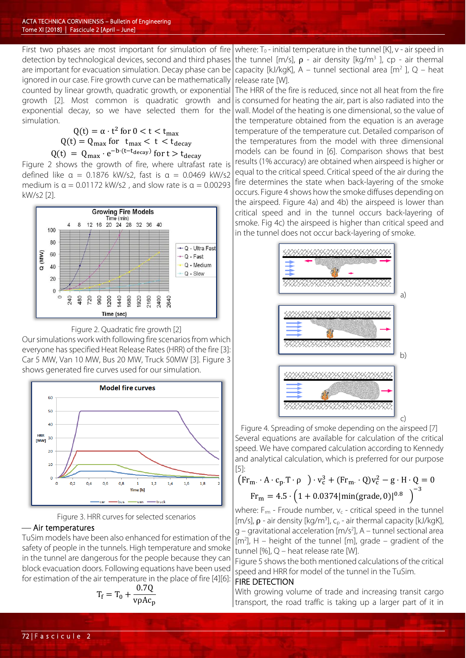First two phases are most important for simulation of fire detection by technological devices, second and third phases are important for evacuation simulation. Decay phase can be ignored in our case. Fire growth curve can be mathematically counted by linear growth, quadratic growth, or exponential growth [2]. Most common is quadratic growth and exponential decay, so we have selected them for the simulation.

> $Q(t) = \alpha \cdot t^2$  for  $0 < t < t_{\text{max}}$  $Q(t) = Q_{\text{max}}$  for  $t_{\text{max}} < t < t_{\text{decay}}$  $Q(t) = Q_{\text{max}} \cdot e^{-b \cdot (t - t_{\text{decay}})}$  for  $t > t_{\text{decay}}$

Figure 2 shows the growth of fire, where ultrafast rate is defined like  $\alpha = 0.1876$  kW/s2, fast is  $\alpha = 0.0469$  kW/s2 medium is  $\alpha = 0.01172$  kW/s2, and slow rate is  $\alpha = 0.00293$ kW/s2 [2].



Figure 2. Quadratic fire growth [2]

Our simulations work with following fire scenarios from which everyone has specified Heat Release Rates (HRR) of the fire [3]: Car 5 MW, Van 10 MW, Bus 20 MW, Truck 50MW [3]. Figure 3 shows generated fire curves used for our simulation.



Figure 3. HRR curves for selected scenarios

#### Air temperatures

TuSim models have been also enhanced for estimation of the safety of people in the tunnels. High temperature and smoke in the tunnel are dangerous for the people because they can block evacuation doors. Following equations have been used for estimation of the air temperature in the place of fire [4][6]:

$$
T_f = T_0 + \frac{0.7Q}{v\rho A c_p}
$$

where:  $T_0$  - initial temperature in the tunnel [K], v - air speed in the tunnel [m/s],  $\rho$  - air density [kg/m<sup>3</sup>], cp - air thermal capacity [kJ/kgK], A – tunnel sectional area  $\lceil m^2 \rceil$ , Q – heat release rate [W].

The HRR of the fire is reduced, since not all heat from the fire is consumed for heating the air, part is also radiated into the wall. Model of the heating is one dimensional, so the value of the temperature obtained from the equation is an average temperature of the temperature cut. Detailed comparison of the temperatures from the model with three dimensional models can be found in [6]. Comparison shows that best results (1% accuracy) are obtained when airspeed is higher or equal to the critical speed. Critical speed of the air during the fire determines the state when back-layering of the smoke occurs. Figure 4 shows how the smoke diffuses depending on the airspeed. Figure 4a) and 4b) the airspeed is lower than critical speed and in the tunnel occurs back-layering of smoke. Fig 4c) the airspeed is higher than critical speed and in the tunnel does not occur back-layering of smoke.



Figure 4. Spreading of smoke depending on the airspeed [7] Several equations are available for calculation of the critical speed. We have compared calculation according to Kennedy and analytical calculation, which is preferred for our purpose [5]:

$$
\left(\mathrm{Fr}_{\mathrm{m}} \cdot \mathrm{A} \cdot \mathrm{c}_{\mathrm{p}}.\mathrm{T} \cdot \rho \quad \right) \cdot \mathrm{v}_{\mathrm{c}}^{3} + \left(\mathrm{Fr}_{\mathrm{m}} \cdot \mathrm{Q}\right) \mathrm{v}_{\mathrm{c}}^{2} - \mathrm{g} \cdot \mathrm{H} \cdot \mathrm{Q} = 0
$$
\n
$$
\mathrm{Fr}_{\mathrm{m}} = 4.5 \cdot \left(1 + 0.0374 \, |\mathrm{min}(\mathrm{grade}, 0)|^{0.8}\right)^{-3}
$$

where:  $F_{rm}$  - Froude number,  $v_c$  - critical speed in the tunnel [m/s],  $\rho$  - air density [kg/m<sup>3</sup>],  $C_p$  - air thermal capacity [kJ/kgK],  $g$  – gravitational acceleration [m/s<sup>2</sup>], A – tunnel sectional area  $[m<sup>2</sup>]$ , H – height of the tunnel [m], grade – gradient of the tunnel [%], Q – heat release rate [W].

Figure 5 shows the both mentioned calculations of the critical speed and HRR for model of the tunnel in the TuSim.

#### FIRE DETECTION

With growing volume of trade and increasing transit cargo transport, the road traffic is taking up a larger part of it in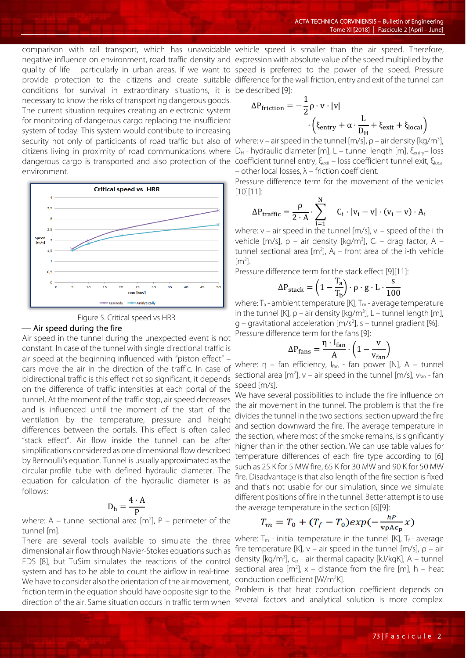comparison with rail transport, which has unavoidable negative influence on environment, road traffic density and quality of life - particularly in urban areas. If we want to provide protection to the citizens and create suitable conditions for survival in extraordinary situations, it is necessary to know the risks of transporting dangerous goods. The current situation requires creating an electronic system for monitoring of dangerous cargo replacing the insufficient system of today. This system would contribute to increasing security not only of participants of road traffic but also of citizens living in proximity of road communications where dangerous cargo is transported and also protection of the environment.





#### Air speed during the fire

Air speed in the tunnel during the unexpected event is not constant. In case of the tunnel with single directional traffic is air speed at the beginning influenced with "piston effect" – cars move the air in the direction of the traffic. In case of bidirectional traffic is this effect not so significant, it depends on the difference of traffic intensities at each portal of the tunnel. At the moment of the traffic stop, air speed decreases and is influenced until the moment of the start of the ventilation by the temperature, pressure and height differences between the portals. This effect is often called "stack effect". Air flow inside the tunnel can be after simplifications considered as one dimensional flow described by Bernoulli's equation. Tunnel is usually approximated as the circular-profile tube with defined hydraulic diameter. The equation for calculation of the hydraulic diameter is as follows:

$$
D_h = \frac{4 \cdot A}{P}
$$

where: A – tunnel sectional area [m<sup>2</sup>], P – perimeter of the tunnel [m].

There are several tools available to simulate the three dimensional air flow through Navier-Stokes equations such as FDS [8], but TuSim simulates the reactions of the control system and has to be able to count the airflow in real-time. We have to consider also the orientation of the air movement, friction term in the equation should have opposite sign to the direction of the air. Same situation occurs in traffic term when

vehicle speed is smaller than the air speed. Therefore, expression with absolute value of the speed multiplied by the speed is preferred to the power of the speed. Pressure difference for the wall friction, entry and exit of the tunnel can be described [9]:

$$
\Delta P_{friction} = -\frac{1}{2}\rho \cdot v \cdot |v|
$$

$$
\cdot \left(\xi_{entry} + \alpha \cdot \frac{L}{D_H} + \xi_{exit} + \xi_{local}\right)
$$

where: v – air speed in the tunnel [m/s],  $\rho$  – air density [kg/m<sup>3</sup>], D<sub>H</sub> - hydraulic diameter [m], L – tunnel length [m], ξ<sub>entry</sub>– loss coefficient tunnel entry, ξ<sub>exit</sub> – loss coefficient tunnel exit, ξ<sub>local</sub> – other local losses,  $\lambda$  – friction coefficient.

Pressure difference term for the movement of the vehicles [10][11]:

$$
\Delta P_{\text{traffic}} = \frac{\rho}{2 \cdot A} \cdot \sum_{i=1}^{N} \quad C_i \cdot |v_i - v| \cdot (v_i - v) \cdot A_i
$$

where:  $v - a$ ir speed in the tunnel [m/s],  $v_i - s$ peed of the i-th vehicle [m/s],  $\rho$  – air density [kg/m<sup>3</sup>], C<sub>i</sub> – drag factor, A – tunnel sectional area  $[m^2]$ ,  $A_i$  – front area of the i-th vehicle  $[m<sup>2</sup>]$ .

Pressure difference term for the stack effect [9][11]:

$$
\Delta P_{\text{stack}} = \left(1 - \frac{T_a}{T_b}\right) \cdot \rho \cdot g \cdot L \cdot \frac{s}{100}
$$

where:  $T_a$  - ambient temperature [K],  $T_m$  - average temperature in the tunnel [K],  $\rho$  – air density [kg/m<sup>3</sup>], L – tunnel length [m], g – gravitational acceleration [m/s2 ], s – tunnel gradient [%].

Pressure difference term for the fans [9]:

$$
\Delta P_{\text{fans}} = \frac{\eta \cdot I_{\text{fan}}}{A} \cdot \left(1 - \frac{v}{v_{\text{fan}}}\right)
$$

where:  $η$  – fan efficiency,  $I_{fan}$  - fan power [N], A – tunnel sectional area  $[m^2]$ ,  $v - air$  speed in the tunnel  $[m/s]$ ,  $v_{fan}$  - fan speed [m/s].

We have several possibilities to include the fire influence on the air movement in the tunnel. The problem is that the fire divides the tunnel in the two sections: section upward the fire and section downward the fire. The average temperature in the section, where most of the smoke remains, is significantly higher than in the other section. We can use table values for temperature differences of each fire type according to [6] such as 25 K for 5 MW fire, 65 K for 30 MW and 90 K for 50 MW fire. Disadvantage is that also length of the fire section is fixed and that's not usable for our simulation, since we simulate different positions of fire in the tunnel. Better attempt is to use the average temperature in the section [6][9]:

$$
T_m = T_0 + (T_f - T_0)exp(-\frac{h^p}{v_p A c_p}x)
$$

where:  $T_m$  - initial temperature in the tunnel [K],  $T_f$ - average fire temperature [K],  $v - air$  speed in the tunnel [m/s],  $\rho - air$ density [kg/m<sup>3</sup>],  $C_p$  - air thermal capacity [kJ/kgK], A – tunnel sectional area  $[m^2]$ , x – distance from the fire  $[m]$ , h – heat conduction coefficient [W/m<sup>2</sup>K].

Problem is that heat conduction coefficient depends on several factors and analytical solution is more complex.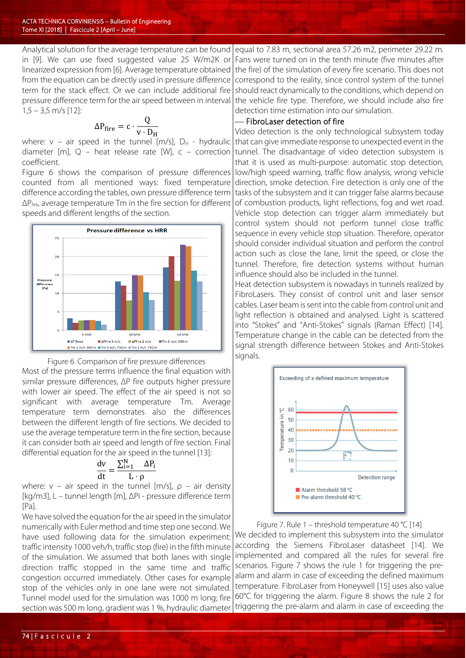Analytical solution for the average temperature can be found in [9]. We can use fixed suggested value 25 W/m2K or linearized expression from [6]. Average temperature obtained from the equation can be directly used in pressure difference term for the stack effect. Or we can include additional fire pressure difference term for the air speed between in interval  $1,5 - 3,5$  m/s [12]:

$$
\Delta P_{fire} = c \cdot \frac{Q}{v \cdot D_H}
$$

where:  $v$  – air speed in the tunnel [m/s],  $D_H$  - hydraulic diameter [m],  $Q$  – heat release rate [W],  $c$  – correction coefficient.

Figure 6 shows the comparison of pressure differences counted from all mentioned ways: fixed temperature difference according the tables, own pressure difference term  $\Delta P_{\text{fire}}$ , average temperature Tm in the fire section for different speeds and different lengths of the section.



Figure 6. Comparison of fire pressure differences

Most of the pressure terms influence the final equation with similar pressure differences, ΔP fire outputs higher pressure with lower air speed. The effect of the air speed is not so significant with average temperature Tm. Average temperature term demonstrates also the differences between the different length of fire sections. We decided to use the average temperature term in the fire section, because it can consider both air speed and length of fire section. Final differential equation for the air speed in the tunnel [13]:

$$
\frac{dv}{dt} = \frac{\sum_{i=1}^N \quad \Delta P_i}{L \cdot \rho}
$$

where:  $v - air$  speed in the tunnel [m/s],  $p - air$  density [kg/m3], L – tunnel length [m], ΔPi - pressure difference term [Pa].

We have solved the equation for the air speed in the simulator numerically with Euler method and time step one second. We have used following data for the simulation experiment: traffic intensity 1000 veh/h, traffic stop (fire) in the fifth minute of the simulation. We assumed that both lanes with single direction traffic stopped in the same time and traffic congestion occurred immediately. Other cases for example stop of the vehicles only in one lane were not simulated. Tunnel model used for the simulation was 1000 m long; fire section was 500 m long, gradient was 1 %, hydraulic diameter

equal to 7.83 m, sectional area 57.26 m2, perimeter 29.22 m. Fans were turned on in the tenth minute (five minutes after the fire) of the simulation of every fire scenario. This does not correspond to the reality, since control system of the tunnel should react dynamically to the conditions, which depend on the vehicle fire type. Therefore, we should include also fire detection time estimation into our simulation.

## - FibroLaser detection of fire

Video detection is the only technological subsystem today that can give immediate response to unexpected event in the tunnel. The disadvantage of video detection subsystem is that it is used as multi-purpose: automatic stop detection, low/high speed warning, traffic flow analysis, wrong vehicle direction, smoke detection. Fire detection is only one of the tasks of the subsystem and it can trigger false alarms because of combustion products, light reflections, fog and wet road. Vehicle stop detection can trigger alarm immediately but control system should not perform tunnel close traffic sequence in every vehicle stop situation. Therefore, operator should consider individual situation and perform the control action such as close the lane, limit the speed, or close the tunnel. Therefore, fire detection systems without human influence should also be included in the tunnel.

Heat detection subsystem is nowadays in tunnels realized by FibroLasers. They consist of control unit and laser sensor cables. Laser beam is sent into the cable from control unit and light reflection is obtained and analysed. Light is scattered into "Stokes" and "Anti-Stokes" signals (Raman Effect) [14]. Temperature change in the cable can be detected from the signal strength difference between Stokes and Anti-Stokes signals.



Figure 7. Rule 1 – threshold temperature 40 °C [14] We decided to implement this subsystem into the simulator according the Siemens FibroLaser datasheet [14]. We implemented and compared all the rules for several fire scenarios. Figure 7 shows the rule 1 for triggering the prealarm and alarm in case of exceeding the defined maximum temperature. FibroLaser from Honeywell [15] uses also value 60°C for triggering the alarm. Figure 8 shows the rule 2 for triggering the pre-alarm and alarm in case of exceeding the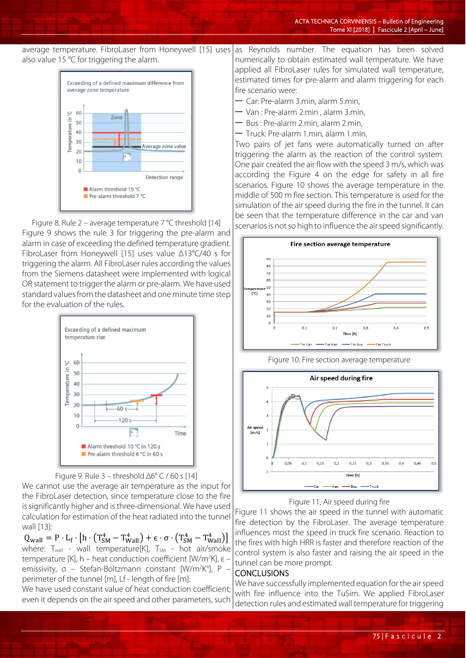average temperature. FibroLaser from Honeywell [15] uses also value 15 °C for triggering the alarm. as Reynolds number. The equation has been solved



Figure 8. Rule 2 – average temperature 7 °C threshold [14] Figure 9 shows the rule 3 for triggering the pre-alarm and alarm in case of exceeding the defined temperature gradient. FibroLaser from Honeywell [15] uses value Δ13°C/40 s for triggering the alarm. All FibroLaser rules according the values from the Siemens datasheet were implemented with logical OR statement to trigger the alarm or pre-alarm. We have used standard values from the datasheet and one minute time step for the evaluation of the rules.





We cannot use the average air temperature as the input for the FibroLaser detection, since temperature close to the fire is significantly higher and is three-dimensional. We have used calculation for estimation of the heat radiated into the tunnel wall [13]:

 $Q_{\text{wall}} = P \cdot L_f \cdot [h \cdot (T_{\text{SM}}^4 - T_{\text{Wall}}^4) + \epsilon \cdot \sigma \cdot (T_{\text{SM}}^4 - T_{\text{Wall}}^4)]$ where:  $T_{wall}$  - wall temperature[K],  $T_{SM}$  - hot air/smoke temperature [K], h – heat conduction coefficient [W/m<sup>2</sup>K], ε – emissivity, σ – Stefan-Boltzmann constant [W/m<sup>2</sup>K<sup>4</sup>], P – perimeter of the tunnel [m], Lf - length of fire [m].

We have used constant value of heat conduction coefficient; even it depends on the air speed and other parameters, such

numerically to obtain estimated wall temperature. We have applied all FibroLaser rules for simulated wall temperature, estimated times for pre-alarm and alarm triggering for each fire scenario were:

- Car: Pre-alarm 3.min, alarm 5.min,
- Van : Pre-alarm 2.min , alarm 3.min,
- Bus : Pre-alarm 2.min, alarm 2.min,
- Truck: Pre-alarm 1.min, alarm 1.min.

Two pairs of jet fans were automatically turned on after triggering the alarm as the reaction of the control system. One pair created the air flow with the speed 3 m/s, which was according the Figure 4 on the edge for safety in all fire scenarios. Figure 10 shows the average temperature in the middle of 500 m fire section. This temperature is used for the simulation of the air speed during the fire in the tunnel. It can be seen that the temperature difference in the car and van scenarios is not so high to influence the air speed significantly.



Figure 10. Fire section average temperature



Figure 11. Air speed during fire

Figure 11 shows the air speed in the tunnel with automatic fire detection by the FibroLaser. The average temperature influences most the speed in truck fire scenario. Reaction to the fires with high HRR is faster and therefore reaction of the control system is also faster and raising the air speed in the tunnel can be more prompt.

#### CONCLUSIONS

We have successfully implemented equation for the air speed with fire influence into the TuSim. We applied FibroLaser detection rules and estimated wall temperature for triggering